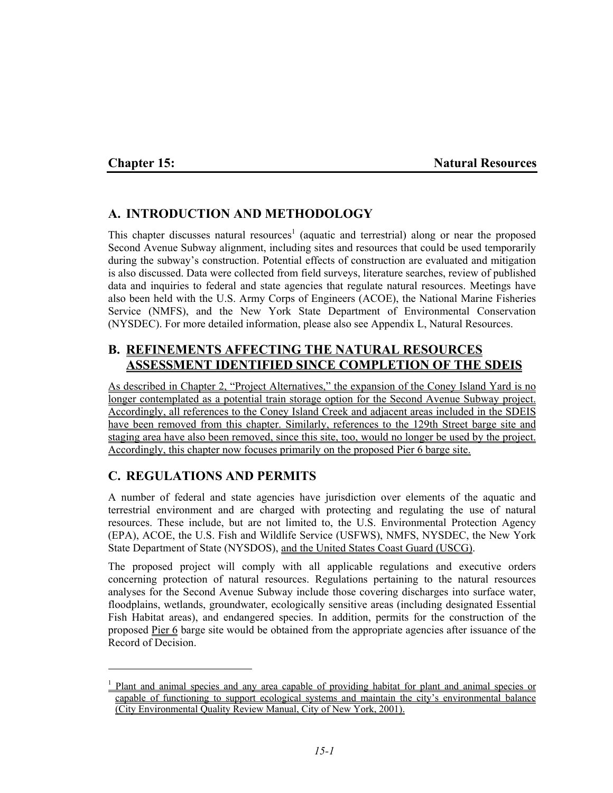1

## **Chapter 15:** Natural Resources

# **A. INTRODUCTION AND METHODOLOGY**

This chapter discusses natural resources<sup>1</sup> (aquatic and terrestrial) along or near the proposed Second Avenue Subway alignment, including sites and resources that could be used temporarily during the subway's construction. Potential effects of construction are evaluated and mitigation is also discussed. Data were collected from field surveys, literature searches, review of published data and inquiries to federal and state agencies that regulate natural resources. Meetings have also been held with the U.S. Army Corps of Engineers (ACOE), the National Marine Fisheries Service (NMFS), and the New York State Department of Environmental Conservation (NYSDEC). For more detailed information, please also see Appendix L, Natural Resources.

## **B. REFINEMENTS AFFECTING THE NATURAL RESOURCES ASSESSMENT IDENTIFIED SINCE COMPLETION OF THE SDEIS**

As described in Chapter 2, "Project Alternatives," the expansion of the Coney Island Yard is no longer contemplated as a potential train storage option for the Second Avenue Subway project. Accordingly, all references to the Coney Island Creek and adjacent areas included in the SDEIS have been removed from this chapter. Similarly, references to the 129th Street barge site and staging area have also been removed, since this site, too, would no longer be used by the project. Accordingly, this chapter now focuses primarily on the proposed Pier 6 barge site.

# **C. REGULATIONS AND PERMITS**

A number of federal and state agencies have jurisdiction over elements of the aquatic and terrestrial environment and are charged with protecting and regulating the use of natural resources. These include, but are not limited to, the U.S. Environmental Protection Agency (EPA), ACOE, the U.S. Fish and Wildlife Service (USFWS), NMFS, NYSDEC, the New York State Department of State (NYSDOS), and the United States Coast Guard (USCG).

The proposed project will comply with all applicable regulations and executive orders concerning protection of natural resources. Regulations pertaining to the natural resources analyses for the Second Avenue Subway include those covering discharges into surface water, floodplains, wetlands, groundwater, ecologically sensitive areas (including designated Essential Fish Habitat areas), and endangered species. In addition, permits for the construction of the proposed Pier 6 barge site would be obtained from the appropriate agencies after issuance of the Record of Decision.

<sup>&</sup>lt;sup>1</sup> Plant and animal species and any area capable of providing habitat for plant and animal species or capable of functioning to support ecological systems and maintain the city's environmental balance (City Environmental Quality Review Manual, City of New York, 2001).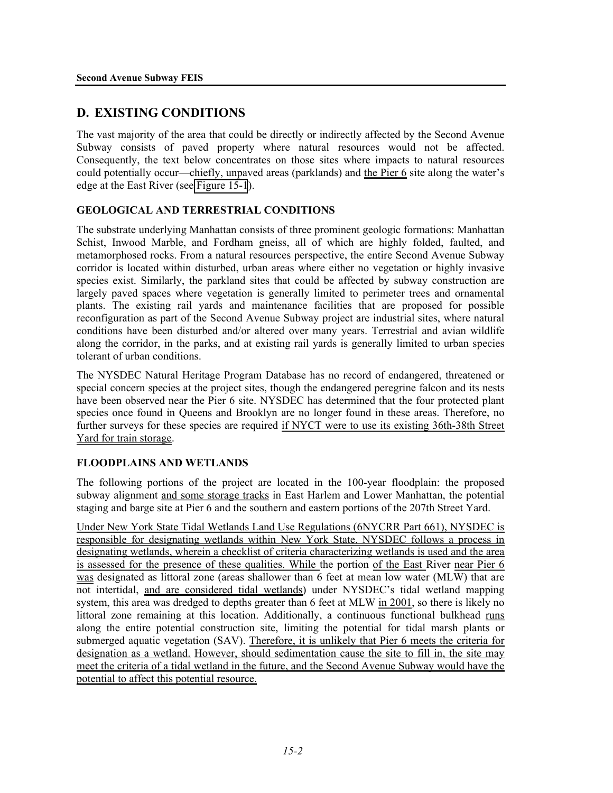## **D. EXISTING CONDITIONS**

The vast majority of the area that could be directly or indirectly affected by the Second Avenue Subway consists of paved property where natural resources would not be affected. Consequently, the text below concentrates on those sites where impacts to natural resources could potentially occur—chiefly, unpaved areas (parklands) and the Pier 6 site along the water's edge at the East River (see Figure 15-1).

## **GEOLOGICAL AND TERRESTRIAL CONDITIONS**

The substrate underlying Manhattan consists of three prominent geologic formations: Manhattan Schist, Inwood Marble, and Fordham gneiss, all of which are highly folded, faulted, and metamorphosed rocks. From a natural resources perspective, the entire Second Avenue Subway corridor is located within disturbed, urban areas where either no vegetation or highly invasive species exist. Similarly, the parkland sites that could be affected by subway construction are largely paved spaces where vegetation is generally limited to perimeter trees and ornamental plants. The existing rail yards and maintenance facilities that are proposed for possible reconfiguration as part of the Second Avenue Subway project are industrial sites, where natural conditions have been disturbed and/or altered over many years. Terrestrial and avian wildlife along the corridor, in the parks, and at existing rail yards is generally limited to urban species tolerant of urban conditions.

The NYSDEC Natural Heritage Program Database has no record of endangered, threatened or special concern species at the project sites, though the endangered peregrine falcon and its nests have been observed near the Pier 6 site. NYSDEC has determined that the four protected plant species once found in Queens and Brooklyn are no longer found in these areas. Therefore, no further surveys for these species are required if NYCT were to use its existing 36th-38th Street Yard for train storage.

## **FLOODPLAINS AND WETLANDS**

The following portions of the project are located in the 100-year floodplain: the proposed subway alignment and some storage tracks in East Harlem and Lower Manhattan, the potential staging and barge site at Pier 6 and the southern and eastern portions of the 207th Street Yard.

Under New York State Tidal Wetlands Land Use Regulations (6NYCRR Part 661), NYSDEC is responsible for designating wetlands within New York State. NYSDEC follows a process in designating wetlands, wherein a checklist of criteria characterizing wetlands is used and the area is assessed for the presence of these qualities. While the portion of the East River near Pier 6 was designated as littoral zone (areas shallower than 6 feet at mean low water (MLW) that are not intertidal, and are considered tidal wetlands) under NYSDEC's tidal wetland mapping system, this area was dredged to depths greater than 6 feet at MLW in 2001, so there is likely no littoral zone remaining at this location. Additionally, a continuous functional bulkhead runs along the entire potential construction site, limiting the potential for tidal marsh plants or submerged aquatic vegetation (SAV). Therefore, it is unlikely that Pier 6 meets the criteria for designation as a wetland. However, should sedimentation cause the site to fill in, the site may meet the criteria of a tidal wetland in the future, and the Second Avenue Subway would have the potential to affect this potential resource.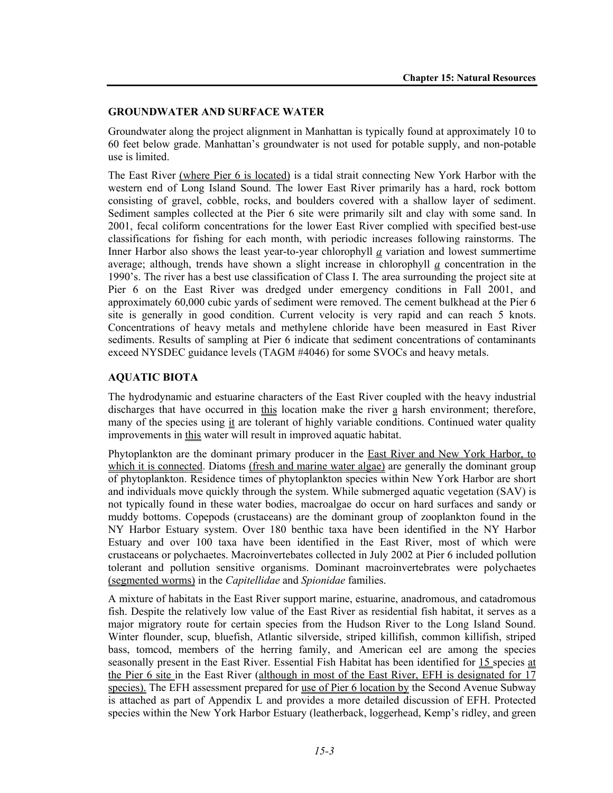#### **GROUNDWATER AND SURFACE WATER**

Groundwater along the project alignment in Manhattan is typically found at approximately 10 to 60 feet below grade. Manhattan's groundwater is not used for potable supply, and non-potable use is limited.

The East River (where Pier 6 is located) is a tidal strait connecting New York Harbor with the western end of Long Island Sound. The lower East River primarily has a hard, rock bottom consisting of gravel, cobble, rocks, and boulders covered with a shallow layer of sediment. Sediment samples collected at the Pier 6 site were primarily silt and clay with some sand. In 2001, fecal coliform concentrations for the lower East River complied with specified best-use classifications for fishing for each month, with periodic increases following rainstorms. The Inner Harbor also shows the least year-to-year chlorophyll *a* variation and lowest summertime average; although, trends have shown a slight increase in chlorophyll *a* concentration in the 1990's. The river has a best use classification of Class I. The area surrounding the project site at Pier 6 on the East River was dredged under emergency conditions in Fall 2001, and approximately 60,000 cubic yards of sediment were removed. The cement bulkhead at the Pier 6 site is generally in good condition. Current velocity is very rapid and can reach 5 knots. Concentrations of heavy metals and methylene chloride have been measured in East River sediments. Results of sampling at Pier 6 indicate that sediment concentrations of contaminants exceed NYSDEC guidance levels (TAGM #4046) for some SVOCs and heavy metals.

#### **AQUATIC BIOTA**

The hydrodynamic and estuarine characters of the East River coupled with the heavy industrial discharges that have occurred in this location make the river a harsh environment; therefore, many of the species using it are tolerant of highly variable conditions. Continued water quality improvements in this water will result in improved aquatic habitat.

Phytoplankton are the dominant primary producer in the East River and New York Harbor, to which it is connected. Diatoms (fresh and marine water algae) are generally the dominant group of phytoplankton. Residence times of phytoplankton species within New York Harbor are short and individuals move quickly through the system. While submerged aquatic vegetation (SAV) is not typically found in these water bodies, macroalgae do occur on hard surfaces and sandy or muddy bottoms. Copepods (crustaceans) are the dominant group of zooplankton found in the NY Harbor Estuary system. Over 180 benthic taxa have been identified in the NY Harbor Estuary and over 100 taxa have been identified in the East River, most of which were crustaceans or polychaetes. Macroinvertebates collected in July 2002 at Pier 6 included pollution tolerant and pollution sensitive organisms. Dominant macroinvertebrates were polychaetes (segmented worms) in the *Capitellidae* and *Spionidae* families.

A mixture of habitats in the East River support marine, estuarine, anadromous, and catadromous fish. Despite the relatively low value of the East River as residential fish habitat, it serves as a major migratory route for certain species from the Hudson River to the Long Island Sound. Winter flounder, scup, bluefish, Atlantic silverside, striped killifish, common killifish, striped bass, tomcod, members of the herring family, and American eel are among the species seasonally present in the East River. Essential Fish Habitat has been identified for 15 species at the Pier 6 site in the East River (although in most of the East River, EFH is designated for 17 species). The EFH assessment prepared for use of Pier 6 location by the Second Avenue Subway is attached as part of Appendix L and provides a more detailed discussion of EFH. Protected species within the New York Harbor Estuary (leatherback, loggerhead, Kemp's ridley, and green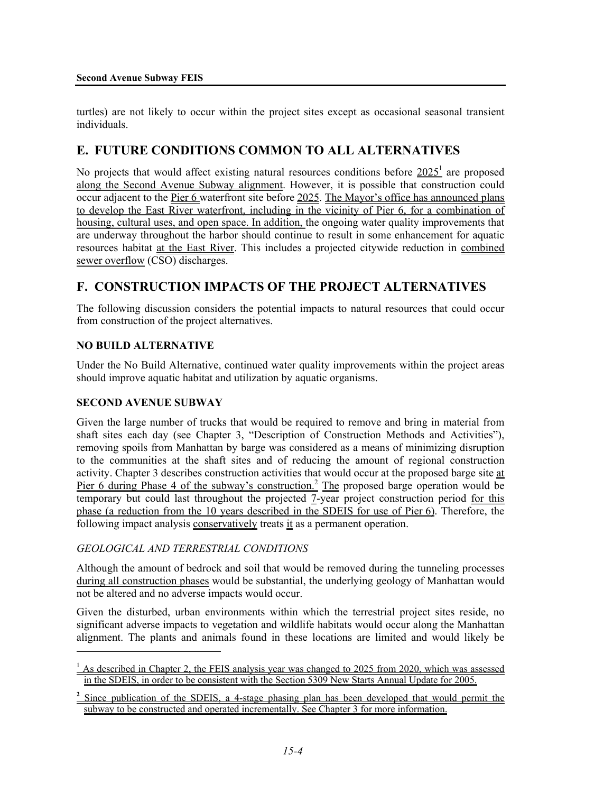turtles) are not likely to occur within the project sites except as occasional seasonal transient individuals.

# **E. FUTURE CONDITIONS COMMON TO ALL ALTERNATIVES**

No projects that would affect existing natural resources conditions before  $2025<sup>1</sup>$  are proposed along the Second Avenue Subway alignment. However, it is possible that construction could occur adjacent to the Pier 6 waterfront site before 2025. The Mayor's office has announced plans to develop the East River waterfront, including in the vicinity of Pier 6, for a combination of housing, cultural uses, and open space. In addition, the ongoing water quality improvements that are underway throughout the harbor should continue to result in some enhancement for aquatic resources habitat at the East River. This includes a projected citywide reduction in combined sewer overflow (CSO) discharges.

# **F. CONSTRUCTION IMPACTS OF THE PROJECT ALTERNATIVES**

The following discussion considers the potential impacts to natural resources that could occur from construction of the project alternatives.

### **NO BUILD ALTERNATIVE**

Under the No Build Alternative, continued water quality improvements within the project areas should improve aquatic habitat and utilization by aquatic organisms.

#### **SECOND AVENUE SUBWAY**

l

Given the large number of trucks that would be required to remove and bring in material from shaft sites each day (see Chapter 3, "Description of Construction Methods and Activities"), removing spoils from Manhattan by barge was considered as a means of minimizing disruption to the communities at the shaft sites and of reducing the amount of regional construction activity. Chapter 3 describes construction activities that would occur at the proposed barge site at Pier 6 during Phase 4 of the subway's construction.<sup>2</sup> The proposed barge operation would be temporary but could last throughout the projected 7-year project construction period for this phase (a reduction from the 10 years described in the SDEIS for use of Pier 6). Therefore, the following impact analysis conservatively treats it as a permanent operation.

## *GEOLOGICAL AND TERRESTRIAL CONDITIONS*

Although the amount of bedrock and soil that would be removed during the tunneling processes during all construction phases would be substantial, the underlying geology of Manhattan would not be altered and no adverse impacts would occur.

Given the disturbed, urban environments within which the terrestrial project sites reside, no significant adverse impacts to vegetation and wildlife habitats would occur along the Manhattan alignment. The plants and animals found in these locations are limited and would likely be

 $1$  As described in Chapter 2, the FEIS analysis year was changed to 2025 from 2020, which was assessed in the SDEIS, in order to be consistent with the Section 5309 New Starts Annual Update for 2005.

<sup>&</sup>lt;sup>2</sup> Since publication of the SDEIS, a 4-stage phasing plan has been developed that would permit the subway to be constructed and operated incrementally. See Chapter 3 for more information.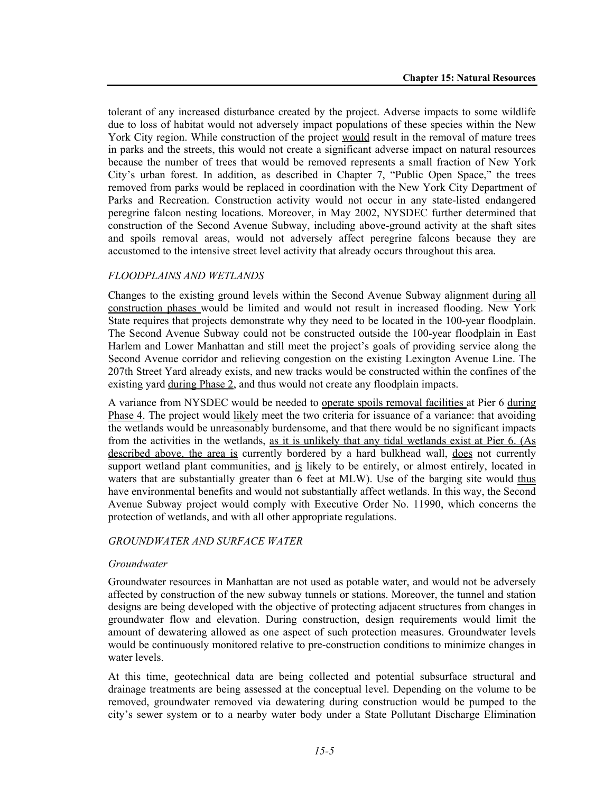tolerant of any increased disturbance created by the project. Adverse impacts to some wildlife due to loss of habitat would not adversely impact populations of these species within the New York City region. While construction of the project would result in the removal of mature trees in parks and the streets, this would not create a significant adverse impact on natural resources because the number of trees that would be removed represents a small fraction of New York City's urban forest. In addition, as described in Chapter 7, "Public Open Space," the trees removed from parks would be replaced in coordination with the New York City Department of Parks and Recreation. Construction activity would not occur in any state-listed endangered peregrine falcon nesting locations. Moreover, in May 2002, NYSDEC further determined that construction of the Second Avenue Subway, including above-ground activity at the shaft sites and spoils removal areas, would not adversely affect peregrine falcons because they are accustomed to the intensive street level activity that already occurs throughout this area.

## *FLOODPLAINS AND WETLANDS*

Changes to the existing ground levels within the Second Avenue Subway alignment during all construction phases would be limited and would not result in increased flooding. New York State requires that projects demonstrate why they need to be located in the 100-year floodplain. The Second Avenue Subway could not be constructed outside the 100-year floodplain in East Harlem and Lower Manhattan and still meet the project's goals of providing service along the Second Avenue corridor and relieving congestion on the existing Lexington Avenue Line. The 207th Street Yard already exists, and new tracks would be constructed within the confines of the existing yard during Phase 2, and thus would not create any floodplain impacts.

A variance from NYSDEC would be needed to operate spoils removal facilities at Pier 6 during Phase 4. The project would likely meet the two criteria for issuance of a variance: that avoiding the wetlands would be unreasonably burdensome, and that there would be no significant impacts from the activities in the wetlands, as it is unlikely that any tidal wetlands exist at Pier 6. (As described above, the area is currently bordered by a hard bulkhead wall, does not currently support wetland plant communities, and is likely to be entirely, or almost entirely, located in waters that are substantially greater than 6 feet at MLW). Use of the barging site would thus have environmental benefits and would not substantially affect wetlands. In this way, the Second Avenue Subway project would comply with Executive Order No. 11990, which concerns the protection of wetlands, and with all other appropriate regulations.

#### *GROUNDWATER AND SURFACE WATER*

#### *Groundwater*

Groundwater resources in Manhattan are not used as potable water, and would not be adversely affected by construction of the new subway tunnels or stations. Moreover, the tunnel and station designs are being developed with the objective of protecting adjacent structures from changes in groundwater flow and elevation. During construction, design requirements would limit the amount of dewatering allowed as one aspect of such protection measures. Groundwater levels would be continuously monitored relative to pre-construction conditions to minimize changes in water levels.

At this time, geotechnical data are being collected and potential subsurface structural and drainage treatments are being assessed at the conceptual level. Depending on the volume to be removed, groundwater removed via dewatering during construction would be pumped to the city's sewer system or to a nearby water body under a State Pollutant Discharge Elimination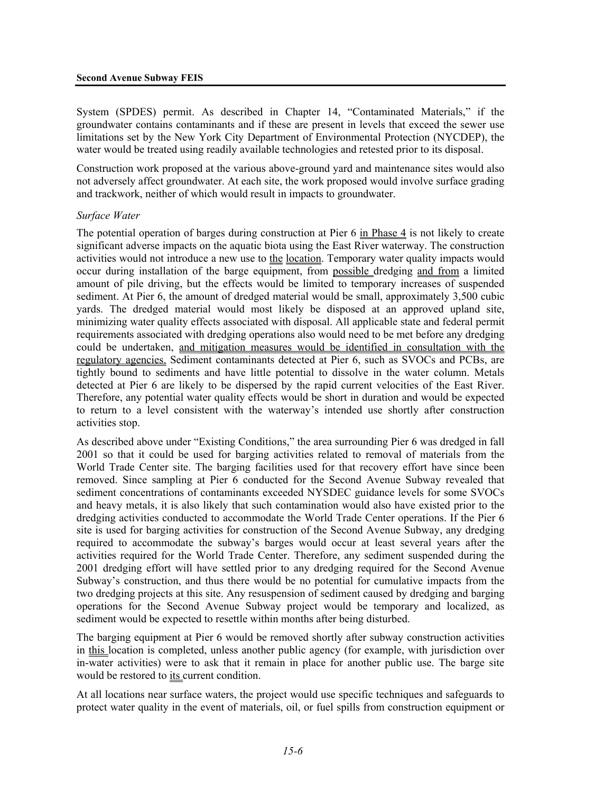System (SPDES) permit. As described in Chapter 14, "Contaminated Materials," if the groundwater contains contaminants and if these are present in levels that exceed the sewer use limitations set by the New York City Department of Environmental Protection (NYCDEP), the water would be treated using readily available technologies and retested prior to its disposal.

Construction work proposed at the various above-ground yard and maintenance sites would also not adversely affect groundwater. At each site, the work proposed would involve surface grading and trackwork, neither of which would result in impacts to groundwater.

#### *Surface Water*

The potential operation of barges during construction at Pier 6 in Phase 4 is not likely to create significant adverse impacts on the aquatic biota using the East River waterway. The construction activities would not introduce a new use to the location. Temporary water quality impacts would occur during installation of the barge equipment, from possible dredging and from a limited amount of pile driving, but the effects would be limited to temporary increases of suspended sediment. At Pier 6, the amount of dredged material would be small, approximately 3,500 cubic yards. The dredged material would most likely be disposed at an approved upland site, minimizing water quality effects associated with disposal. All applicable state and federal permit requirements associated with dredging operations also would need to be met before any dredging could be undertaken, and mitigation measures would be identified in consultation with the regulatory agencies. Sediment contaminants detected at Pier 6, such as SVOCs and PCBs, are tightly bound to sediments and have little potential to dissolve in the water column. Metals detected at Pier 6 are likely to be dispersed by the rapid current velocities of the East River. Therefore, any potential water quality effects would be short in duration and would be expected to return to a level consistent with the waterway's intended use shortly after construction activities stop.

As described above under "Existing Conditions," the area surrounding Pier 6 was dredged in fall 2001 so that it could be used for barging activities related to removal of materials from the World Trade Center site. The barging facilities used for that recovery effort have since been removed. Since sampling at Pier 6 conducted for the Second Avenue Subway revealed that sediment concentrations of contaminants exceeded NYSDEC guidance levels for some SVOCs and heavy metals, it is also likely that such contamination would also have existed prior to the dredging activities conducted to accommodate the World Trade Center operations. If the Pier 6 site is used for barging activities for construction of the Second Avenue Subway, any dredging required to accommodate the subway's barges would occur at least several years after the activities required for the World Trade Center. Therefore, any sediment suspended during the 2001 dredging effort will have settled prior to any dredging required for the Second Avenue Subway's construction, and thus there would be no potential for cumulative impacts from the two dredging projects at this site. Any resuspension of sediment caused by dredging and barging operations for the Second Avenue Subway project would be temporary and localized, as sediment would be expected to resettle within months after being disturbed.

The barging equipment at Pier 6 would be removed shortly after subway construction activities in this location is completed, unless another public agency (for example, with jurisdiction over in-water activities) were to ask that it remain in place for another public use. The barge site would be restored to its current condition.

At all locations near surface waters, the project would use specific techniques and safeguards to protect water quality in the event of materials, oil, or fuel spills from construction equipment or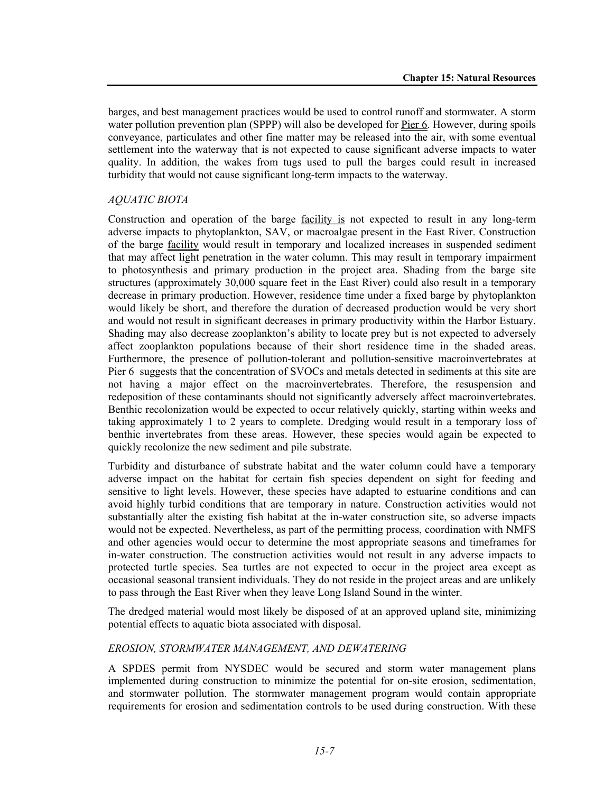barges, and best management practices would be used to control runoff and stormwater. A storm water pollution prevention plan (SPPP) will also be developed for Pier 6. However, during spoils conveyance, particulates and other fine matter may be released into the air, with some eventual settlement into the waterway that is not expected to cause significant adverse impacts to water quality. In addition, the wakes from tugs used to pull the barges could result in increased turbidity that would not cause significant long-term impacts to the waterway.

#### *AQUATIC BIOTA*

Construction and operation of the barge facility is not expected to result in any long-term adverse impacts to phytoplankton, SAV, or macroalgae present in the East River. Construction of the barge facility would result in temporary and localized increases in suspended sediment that may affect light penetration in the water column. This may result in temporary impairment to photosynthesis and primary production in the project area. Shading from the barge site structures (approximately 30,000 square feet in the East River) could also result in a temporary decrease in primary production. However, residence time under a fixed barge by phytoplankton would likely be short, and therefore the duration of decreased production would be very short and would not result in significant decreases in primary productivity within the Harbor Estuary. Shading may also decrease zooplankton's ability to locate prey but is not expected to adversely affect zooplankton populations because of their short residence time in the shaded areas. Furthermore, the presence of pollution-tolerant and pollution-sensitive macroinvertebrates at Pier 6 suggests that the concentration of SVOCs and metals detected in sediments at this site are not having a major effect on the macroinvertebrates. Therefore, the resuspension and redeposition of these contaminants should not significantly adversely affect macroinvertebrates. Benthic recolonization would be expected to occur relatively quickly, starting within weeks and taking approximately 1 to 2 years to complete. Dredging would result in a temporary loss of benthic invertebrates from these areas. However, these species would again be expected to quickly recolonize the new sediment and pile substrate.

Turbidity and disturbance of substrate habitat and the water column could have a temporary adverse impact on the habitat for certain fish species dependent on sight for feeding and sensitive to light levels. However, these species have adapted to estuarine conditions and can avoid highly turbid conditions that are temporary in nature. Construction activities would not substantially alter the existing fish habitat at the in-water construction site, so adverse impacts would not be expected. Nevertheless, as part of the permitting process, coordination with NMFS and other agencies would occur to determine the most appropriate seasons and timeframes for in-water construction. The construction activities would not result in any adverse impacts to protected turtle species. Sea turtles are not expected to occur in the project area except as occasional seasonal transient individuals. They do not reside in the project areas and are unlikely to pass through the East River when they leave Long Island Sound in the winter.

The dredged material would most likely be disposed of at an approved upland site, minimizing potential effects to aquatic biota associated with disposal.

#### *EROSION, STORMWATER MANAGEMENT, AND DEWATERING*

A SPDES permit from NYSDEC would be secured and storm water management plans implemented during construction to minimize the potential for on-site erosion, sedimentation, and stormwater pollution. The stormwater management program would contain appropriate requirements for erosion and sedimentation controls to be used during construction. With these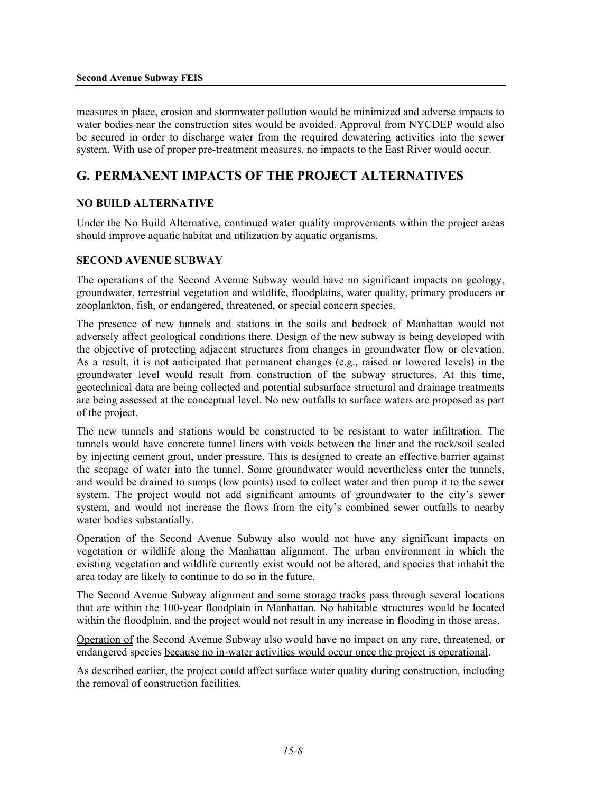measures in place, erosion and stormwater pollution would be minimized and adverse impacts to water bodies near the construction sites would be avoided. Approval from NYCDEP would also be secured in order to discharge water from the required dewatering activities into the sewer system. With use of proper pre-treatment measures, no impacts to the East River would occur.

# **G. PERMANENT IMPACTS OF THE PROJECT ALTERNATIVES**

## **NO BUILD ALTERNATIVE**

Under the No Build Alternative, continued water quality improvements within the project areas should improve aquatic habitat and utilization by aquatic organisms.

### **SECOND AVENUE SUBWAY**

The operations of the Second Avenue Subway would have no significant impacts on geology, groundwater, terrestrial vegetation and wildlife, floodplains, water quality, primary producers or zooplankton, fish, or endangered, threatened, or special concern species.

The presence of new tunnels and stations in the soils and bedrock of Manhattan would not adversely affect geological conditions there. Design of the new subway is being developed with the objective of protecting adjacent structures from changes in groundwater flow or elevation. As a result, it is not anticipated that permanent changes (e.g., raised or lowered levels) in the groundwater level would result from construction of the subway structures. At this time, geotechnical data are being collected and potential subsurface structural and drainage treatments are being assessed at the conceptual level. No new outfalls to surface waters are proposed as part of the project.

The new tunnels and stations would be constructed to be resistant to water infiltration. The tunnels would have concrete tunnel liners with voids between the liner and the rock/soil sealed by injecting cement grout, under pressure. This is designed to create an effective barrier against the seepage of water into the tunnel. Some groundwater would nevertheless enter the tunnels, and would be drained to sumps (low points) used to collect water and then pump it to the sewer system. The project would not add significant amounts of groundwater to the city's sewer system, and would not increase the flows from the city's combined sewer outfalls to nearby water bodies substantially.

Operation of the Second Avenue Subway also would not have any significant impacts on vegetation or wildlife along the Manhattan alignment. The urban environment in which the existing vegetation and wildlife currently exist would not be altered, and species that inhabit the area today are likely to continue to do so in the future.

The Second Avenue Subway alignment and some storage tracks pass through several locations that are within the 100-year floodplain in Manhattan. No habitable structures would be located within the floodplain, and the project would not result in any increase in flooding in those areas.

Operation of the Second Avenue Subway also would have no impact on any rare, threatened, or endangered species because no in-water activities would occur once the project is operational.

As described earlier, the project could affect surface water quality during construction, including the removal of construction facilities.